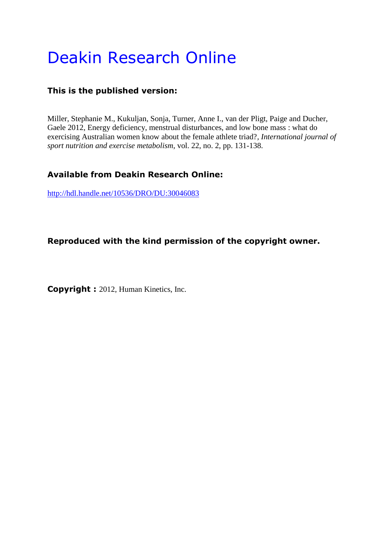# Deakin Research Online

### **This is the published version:**

Miller, Stephanie M., Kukuljan, Sonja, Turner, Anne I., van der Pligt, Paige and Ducher, Gaele 2012, Energy deficiency, menstrual disturbances, and low bone mass : what do exercising Australian women know about the female athlete triad?*, International journal of sport nutrition and exercise metabolism*, vol. 22, no. 2, pp. 131-138.

## **Available from Deakin Research Online:**

<http://hdl.handle.net/10536/DRO/DU:30046083>

## **Reproduced with the kind permission of the copyright owner.**

**Copyright :** 2012, Human Kinetics, Inc.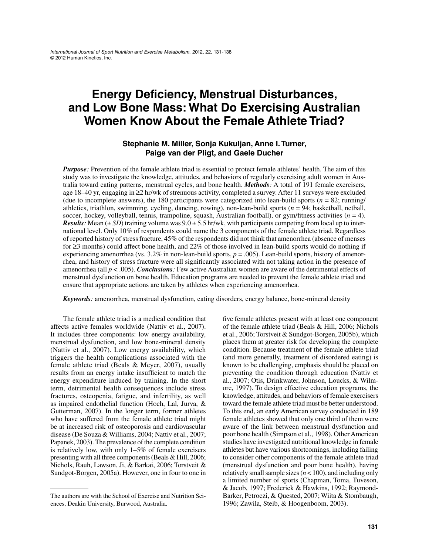## **Energy Deficiency, Menstrual Disturbances, and Low Bone Mass: What Do Exercising Australian Women Know About the Female Athlete Triad?**

#### **Stephanie M. Miller, Sonja Kukuljan, Anne I. Turner, Paige van der Pligt, and Gaele Ducher**

*Purpose:* Prevention of the female athlete triad is essential to protect female athletes' health. The aim of this study was to investigate the knowledge, attitudes, and behaviors of regularly exercising adult women in Australia toward eating patterns, menstrual cycles, and bone health. *Methods:* A total of 191 female exercisers, age 18–40 yr, engaging in ≥2 hr/wk of strenuous activity, completed a survey. After 11 surveys were excluded (due to incomplete answers), the 180 participants were categorized into lean-build sports  $(n = 82;$  running/ athletics, triathlon, swimming, cycling, dancing, rowing), non-lean-build sports (*n* = 94; basketball, netball, soccer, hockey, volleyball, tennis, trampoline, squash, Australian football), or gym/fitness activities  $(n = 4)$ . *Results*: Mean ( $\pm SD$ ) training volume was  $9.0 \pm 5.5$  hr/wk, with participants competing from local up to international level. Only 10% of respondents could name the 3 components of the female athlete triad. Regardless of reported history of stress fracture, 45% of the respondents did not think that amenorrhea (absence of menses for ≥3 months) could affect bone health, and 22% of those involved in lean-build sports would do nothing if experiencing amenorrhea (vs. 3.2% in non-lean-build sports, *p* = .005). Lean-build sports, history of amenorrhea, and history of stress fracture were all significantly associated with not taking action in the presence of amenorrhea (all *p* < .005). *Conclusions:* Few active Australian women are aware of the detrimental effects of menstrual dysfunction on bone health. Education programs are needed to prevent the female athlete triad and ensure that appropriate actions are taken by athletes when experiencing amenorrhea.

*Keywords:* amenorrhea, menstrual dysfunction, eating disorders, energy balance, bone-mineral density

The female athlete triad is a medical condition that affects active females worldwide (Nattiv et al., 2007). It includes three components: low energy availability, menstrual dysfunction, and low bone-mineral density (Nattiv et al., 2007). Low energy availability, which triggers the health complications associated with the female athlete triad (Beals & Meyer, 2007), usually results from an energy intake insufficient to match the energy expenditure induced by training. In the short term, detrimental health consequences include stress fractures, osteopenia, fatigue, and infertility, as well as impaired endothelial function (Hoch, Lal, Jurva, & Gutterman, 2007). In the longer term, former athletes who have suffered from the female athlete triad might be at increased risk of osteoporosis and cardiovascular disease (De Souza & Williams, 2004; Nattiv et al., 2007; Papanek, 2003). The prevalence of the complete condition is relatively low, with only 1–5% of female exercisers presenting with all three components (Beals & Hill, 2006; Nichols, Rauh, Lawson, Ji, & Barkai, 2006; Torstveit & Sundgot-Borgen, 2005a). However, one in four to one in

five female athletes present with at least one component of the female athlete triad (Beals & Hill, 2006; Nichols et al., 2006; Torstveit & Sundgot-Borgen, 2005b), which places them at greater risk for developing the complete condition. Because treatment of the female athlete triad (and more generally, treatment of disordered eating) is known to be challenging, emphasis should be placed on preventing the condition through education (Nattiv et al., 2007; Otis, Drinkwater, Johnson, Loucks, & Wilmore, 1997). To design effective education programs, the knowledge, attitudes, and behaviors of female exercisers toward the female athlete triad must be better understood. To this end, an early American survey conducted in 189 female athletes showed that only one third of them were aware of the link between menstrual dysfunction and poor bone health (Simpson et al., 1998). Other American studies have investigated nutritional knowledge in female athletes but have various shortcomings, including failing to consider other components of the female athlete triad (menstrual dysfunction and poor bone health), having relatively small sample sizes  $(n < 100)$ , and including only a limited number of sports (Chapman, Toma, Tuveson, & Jacob, 1997; Frederick & Hawkins, 1992; Raymond-Barker, Petroczi, & Quested, 2007; Wiita & Stombaugh, 1996; Zawila, Steib, & Hoogenboom, 2003).

The authors are with the School of Exercise and Nutrition Sciences, Deakin University, Burwood, Australia.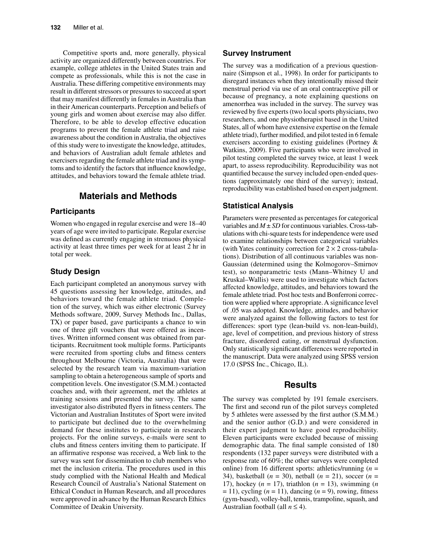Competitive sports and, more generally, physical activity are organized differently between countries. For example, college athletes in the United States train and compete as professionals, while this is not the case in Australia. These differing competitive environments may result in different stressors or pressures to succeed at sport that may manifest differently in females in Australia than in their American counterparts. Perception and beliefs of young girls and women about exercise may also differ. Therefore, to be able to develop effective education programs to prevent the female athlete triad and raise awareness about the condition in Australia, the objectives of this study were to investigate the knowledge, attitudes, and behaviors of Australian adult female athletes and exercisers regarding the female athlete triad and its symptoms and to identify the factors that influence knowledge, attitudes, and behaviors toward the female athlete triad.

#### **Materials and Methods**

#### **Participants**

Women who engaged in regular exercise and were 18–40 years of age were invited to participate. Regular exercise was defined as currently engaging in strenuous physical activity at least three times per week for at least 2 hr in total per week.

#### **Study Design**

Each participant completed an anonymous survey with 45 questions assessing her knowledge, attitudes, and behaviors toward the female athlete triad. Completion of the survey, which was either electronic (Survey Methods software, 2009, Survey Methods Inc., Dallas, TX) or paper based, gave participants a chance to win one of three gift vouchers that were offered as incentives. Written informed consent was obtained from participants. Recruitment took multiple forms. Participants were recruited from sporting clubs and fitness centers throughout Melbourne (Victoria, Australia) that were selected by the research team via maximum-variation sampling to obtain a heterogeneous sample of sports and competition levels. One investigator (S.M.M.) contacted coaches and, with their agreement, met the athletes at training sessions and presented the survey. The same investigator also distributed flyers in fitness centers. The Victorian and Australian Institutes of Sport were invited to participate but declined due to the overwhelming demand for these institutes to participate in research projects. For the online surveys, e-mails were sent to clubs and fitness centers inviting them to participate. If an affirmative response was received, a Web link to the survey was sent for dissemination to club members who met the inclusion criteria. The procedures used in this study complied with the National Health and Medical Research Council of Australia's National Statement on Ethical Conduct in Human Research, and all procedures were approved in advance by the Human Research Ethics Committee of Deakin University.

#### **Survey Instrument**

The survey was a modification of a previous questionnaire (Simpson et al., 1998). In order for participants to disregard instances when they intentionally missed their menstrual period via use of an oral contraceptive pill or because of pregnancy, a note explaining questions on amenorrhea was included in the survey. The survey was reviewed by five experts (two local sports physicians, two researchers, and one physiotherapist based in the United States, all of whom have extensive expertise on the female athlete triad), further modified, and pilot tested in 6 female exercisers according to existing guidelines (Portney & Watkins, 2009). Five participants who were involved in pilot testing completed the survey twice, at least 1 week apart, to assess reproducibility. Reproducibility was not quantified because the survey included open-ended questions (approximately one third of the survey); instead, reproducibility was established based on expert judgment.

#### **Statistical Analysis**

Parameters were presented as percentages for categorical variables and  $M \pm SD$  for continuous variables. Cross-tabulations with chi-square tests for independence were used to examine relationships between categorical variables (with Yates continuity correction for  $2 \times 2$  cross-tabulations). Distribution of all continuous variables was non-Gaussian (determined using the Kolmogorov–Smirnov test), so nonparametric tests (Mann–Whitney U and Kruskal–Wallis) were used to investigate which factors affected knowledge, attitudes, and behaviors toward the female athlete triad. Post hoc tests and Bonferroni correction were applied where appropriate. A significance level of .05 was adopted. Knowledge, attitudes, and behavior were analyzed against the following factors to test for differences: sport type (lean-build vs. non-lean-build), age, level of competition, and previous history of stress fracture, disordered eating, or menstrual dysfunction. Only statistically significant differences were reported in the manuscript. Data were analyzed using SPSS version 17.0 (SPSS Inc., Chicago, IL).

#### **Results**

The survey was completed by 191 female exercisers. The first and second run of the pilot surveys completed by 5 athletes were assessed by the first author (S.M.M.) and the senior author (G.D.) and were considered in their expert judgment to have good reproducibility. Eleven participants were excluded because of missing demographic data. The final sample consisted of 180 respondents (132 paper surveys were distributed with a response rate of 60%; the other surveys were completed online) from 16 different sports: athletics/running (*n* = 34), basketball  $(n = 30)$ , netball  $(n = 21)$ , soccer  $(n = 1)$ 17), hockey (*n* = 17), triathlon (*n* = 13), swimming (*n* = 11), cycling (*n* = 11), dancing (*n* = 9), rowing, fitness (gym-based), volley-ball, tennis, trampoline, squash, and Australian football (all  $n \leq 4$ ).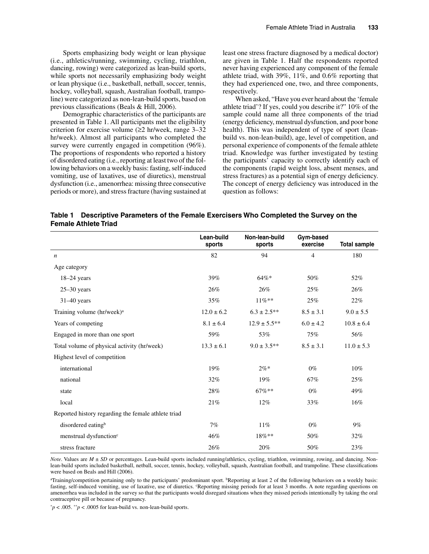Sports emphasizing body weight or lean physique (i.e., athletics/running, swimming, cycling, triathlon, dancing, rowing) were categorized as lean-build sports, while sports not necessarily emphasizing body weight or lean physique (i.e., basketball, netball, soccer, tennis, hockey, volleyball, squash, Australian football, trampoline) were categorized as non-lean-build sports, based on previous classifications (Beals & Hill, 2006).

Demographic characteristics of the participants are presented in Table 1. All participants met the eligibility criterion for exercise volume  $(\geq 2 \text{ hr/week}, \text{range } 3-32$ hr/week). Almost all participants who completed the survey were currently engaged in competition (96%). The proportions of respondents who reported a history of disordered eating (i.e., reporting at least two of the following behaviors on a weekly basis: fasting, self-induced vomiting, use of laxatives, use of diuretics), menstrual dysfunction (i.e., amenorrhea: missing three consecutive periods or more), and stress fracture (having sustained at least one stress fracture diagnosed by a medical doctor) are given in Table 1. Half the respondents reported never having experienced any component of the female athlete triad, with 39%, 11%, and 0.6% reporting that they had experienced one, two, and three components, respectively.

When asked, "Have you ever heard about the 'female athlete triad'? If yes, could you describe it?" 10% of the sample could name all three components of the triad (energy deficiency, menstrual dysfunction, and poor bone health). This was independent of type of sport (leanbuild vs. non-lean-build), age, level of competition, and personal experience of components of the female athlete triad. Knowledge was further investigated by testing the participants' capacity to correctly identify each of the components (rapid weight loss, absent menses, and stress fractures) as a potential sign of energy deficiency. The concept of energy deficiency was introduced in the question as follows:

**Table 1 Descriptive Parameters of the Female Exercisers Who Completed the Survey on the Female Athlete Triad**

|                                                     | Lean-build<br>sports | Non-lean-build<br>sports | Gym-based<br>exercise | <b>Total sample</b> |
|-----------------------------------------------------|----------------------|--------------------------|-----------------------|---------------------|
| $\boldsymbol{n}$                                    | 82                   | 94                       | $\overline{4}$        | 180                 |
| Age category                                        |                      |                          |                       |                     |
| $18-24$ years                                       | 39%                  | $64\%*$                  | 50%                   | 52%                 |
| $25-30$ years                                       | 26%                  | 26%                      | 25%                   | 26%                 |
| $31-40$ years                                       | 35%                  | $11\%**$                 | 25%                   | 22%                 |
| Training volume (hr/week) <sup>a</sup>              | $12.0 \pm 6.2$       | $6.3 \pm 2.5**$          | $8.5 \pm 3.1$         | $9.0 \pm 5.5$       |
| Years of competing                                  | $8.1 \pm 6.4$        | $12.9 \pm 5.5$ **        | $6.0 \pm 4.2$         | $10.8 \pm 6.4$      |
| Engaged in more than one sport                      | 59%                  | 53%                      | 75%                   | 56%                 |
| Total volume of physical activity (hr/week)         | $13.3 \pm 6.1$       | $9.0 \pm 3.5$ **         | $8.5 \pm 3.1$         | $11.0 \pm 5.3$      |
| Highest level of competition                        |                      |                          |                       |                     |
| international                                       | 19%                  | $2\%*$                   | $0\%$                 | 10%                 |
| national                                            | 32%                  | 19%                      | 67%                   | 25%                 |
| state                                               | 28%                  | $67\%**$                 | $0\%$                 | 49%                 |
| local                                               | 21%                  | 12%                      | 33%                   | 16%                 |
| Reported history regarding the female athlete triad |                      |                          |                       |                     |
| disordered eatingb                                  | 7%                   | $11\%$                   | $0\%$                 | $9\%$               |
| menstrual dysfunction <sup>c</sup>                  | 46%                  | 18%**                    | 50%                   | 32%                 |
| stress fracture                                     | 26%                  | 20%                      | 50%                   | 23%                 |

*Note*. Values are  $M \pm SD$  or percentages. Lean-build sports included running/athletics, cycling, triathlon, swimming, rowing, and dancing. Nonlean-build sports included basketball, netball, soccer, tennis, hockey, volleyball, squash, Australian football, and trampoline. These classifications were based on Beals and Hill (2006).

a Training/competition pertaining only to the participants' predominant sport. bReporting at least 2 of the following behaviors on a weekly basis: fasting, self-induced vomiting, use of laxative, use of diuretics. "Reporting missing periods for at least 3 months. A note regarding questions on amenorrhea was included in the survey so that the participants would disregard situations when they missed periods intentionally by taking the oral contraceptive pill or because of pregnancy.

 $*p$  < .005.  $*$ <sup>\*</sup> $p$  < .0005 for lean-build vs. non-lean-build sports.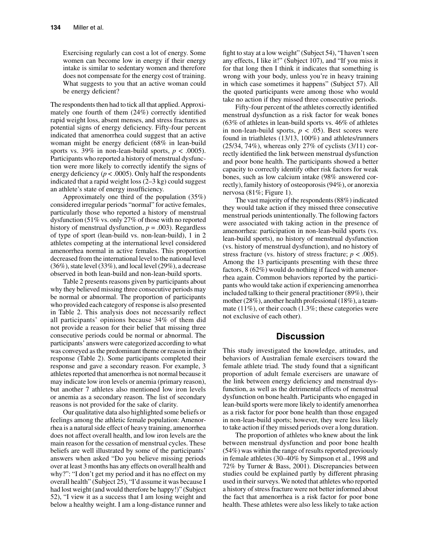Exercising regularly can cost a lot of energy. Some women can become low in energy if their energy intake is similar to sedentary women and therefore does not compensate for the energy cost of training. What suggests to you that an active woman could be energy deficient?

The respondents then had to tick all that applied. Approximately one fourth of them (24%) correctly identified rapid weight loss, absent menses, and stress fractures as potential signs of energy deficiency. Fifty-four percent indicated that amenorrhea could suggest that an active woman might be energy deficient (68% in lean-build sports vs. 39% in non-lean-build sports,  $p < .0005$ ). Participants who reported a history of menstrual dysfunction were more likely to correctly identify the signs of energy deficiency ( $p < .0005$ ). Only half the respondents indicated that a rapid weight loss (2–3 kg) could suggest an athlete's state of energy insufficiency.

Approximately one third of the population (35%) considered irregular periods "normal" for active females, particularly those who reported a history of menstrual dysfunction (51% vs. only 27% of those with no reported history of menstrual dysfunction,  $p = .003$ ). Regardless of type of sport (lean-build vs. non-lean-build), 1 in 2 athletes competing at the international level considered amenorrhea normal in active females. This proportion decreased from the international level to the national level (36%), state level (33%), and local level (29%), a decrease observed in both lean-build and non-lean-build sports.

Table 2 presents reasons given by participants about why they believed missing three consecutive periods may be normal or abnormal. The proportion of participants who provided each category of response is also presented in Table 2. This analysis does not necessarily reflect all participants' opinions because 34% of them did not provide a reason for their belief that missing three consecutive periods could be normal or abnormal. The participants' answers were categorized according to what was conveyed as the predominant theme or reason in their response (Table 2). Some participants completed their response and gave a secondary reason. For example, 3 athletes reported that amenorrhea is not normal because it may indicate low iron levels or anemia (primary reason), but another 7 athletes also mentioned low iron levels or anemia as a secondary reason. The list of secondary reasons is not provided for the sake of clarity.

Our qualitative data also highlighted some beliefs or feelings among the athletic female population: Amenorrhea is a natural side effect of heavy training, amenorrhea does not affect overall health, and low iron levels are the main reason for the cessation of menstrual cycles. These beliefs are well illustrated by some of the participants' answers when asked "Do you believe missing periods over at least 3 months has any effects on overall health and why?": "I don't get my period and it has no effect on my overall health" (Subject 25), "I'd assume it was because I had lost weight (and would therefore be happy!)" (Subject 52), "I view it as a success that I am losing weight and below a healthy weight. I am a long-distance runner and fight to stay at a low weight" (Subject 54), "I haven't seen any effects, I like it!" (Subject 107), and "If you miss it for that long then I think it indicates that something is wrong with your body, unless you're in heavy training in which case sometimes it happens" (Subject 57). All the quoted participants were among those who would take no action if they missed three consecutive periods.

Fifty-four percent of the athletes correctly identified menstrual dysfunction as a risk factor for weak bones (63% of athletes in lean-build sports vs. 46% of athletes in non-lean-build sports,  $p < .05$ ). Best scores were found in triathletes (13/13, 100%) and athletes/runners (25/34, 74%), whereas only 27% of cyclists (3/11) correctly identified the link between menstrual dysfunction and poor bone health. The participants showed a better capacity to correctly identify other risk factors for weak bones, such as low calcium intake (98% answered correctly), family history of osteoporosis (94%), or anorexia nervosa (81%; Figure 1).

The vast majority of the respondents (88%) indicated they would take action if they missed three consecutive menstrual periods unintentionally. The following factors were associated with taking action in the presence of amenorrhea: participation in non-lean-build sports (vs. lean-build sports), no history of menstrual dysfunction (vs. history of menstrual dysfunction), and no history of stress fracture (vs. history of stress fracture;  $p < .005$ ). Among the 13 participants presenting with these three factors, 8 (62%) would do nothing if faced with amenorrhea again. Common behaviors reported by the participants who would take action if experiencing amenorrhea included talking to their general practitioner (89%), their mother (28%), another health professional (18%), a teammate (11%), or their coach (1.3%; these categories were not exclusive of each other).

#### **Discussion**

This study investigated the knowledge, attitudes, and behaviors of Australian female exercisers toward the female athlete triad. The study found that a significant proportion of adult female exercisers are unaware of the link between energy deficiency and menstrual dysfunction, as well as the detrimental effects of menstrual dysfunction on bone health. Participants who engaged in lean-build sports were more likely to identify amenorrhea as a risk factor for poor bone health than those engaged in non-lean-build sports; however, they were less likely to take action if they missed periods over a long duration.

The proportion of athletes who knew about the link between menstrual dysfunction and poor bone health (54%) was within the range of results reported previously in female athletes (30–40% by Simpson et al., 1998 and 72% by Turner & Bass, 2001). Discrepancies between studies could be explained partly by different phrasing used in their surveys. We noted that athletes who reported a history of stress fracture were not better informed about the fact that amenorrhea is a risk factor for poor bone health. These athletes were also less likely to take action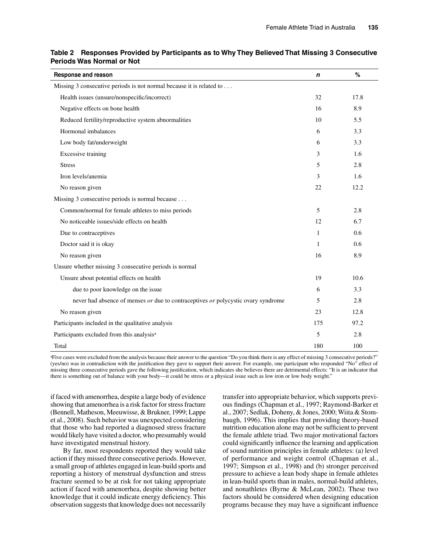| <b>Response and reason</b>                                                        | n            | %    |
|-----------------------------------------------------------------------------------|--------------|------|
| Missing 3 consecutive periods is not normal because it is related to              |              |      |
| Health issues (unsure/nonspecific/incorrect)                                      | 32           | 17.8 |
| Negative effects on bone health                                                   | 16           | 8.9  |
| Reduced fertility/reproductive system abnormalities                               | 10           | 5.5  |
| Hormonal imbalances                                                               | 6            | 3.3  |
| Low body fat/underweight                                                          | 6            | 3.3  |
| Excessive training                                                                | 3            | 1.6  |
| <b>Stress</b>                                                                     | 5            | 2.8  |
| Iron levels/anemia                                                                | 3            | 1.6  |
| No reason given                                                                   | 22           | 12.2 |
| Missing 3 consecutive periods is normal because                                   |              |      |
| Common/normal for female athletes to miss periods                                 | 5            | 2.8  |
| No noticeable issues/side effects on health                                       | 12           | 6.7  |
| Due to contraceptives                                                             | $\mathbf{1}$ | 0.6  |
| Doctor said it is okay                                                            | 1            | 0.6  |
| No reason given                                                                   | 16           | 8.9  |
| Unsure whether missing 3 consecutive periods is normal                            |              |      |
| Unsure about potential effects on health                                          | 19           | 10.6 |
| due to poor knowledge on the issue                                                | 6            | 3.3  |
| never had absence of menses or due to contraceptives or polycystic ovary syndrome | 5            | 2.8  |
| No reason given                                                                   |              | 12.8 |
| Participants included in the qualitative analysis                                 |              | 97.2 |
| Participants excluded from this analysis <sup>a</sup>                             |              | 2.8  |
| Total                                                                             | 180          | 100  |

#### **Table 2 Responses Provided by Participants as to Why They Believed That Missing 3 Consecutive Periods Was Normal or Not**

a Five cases were excluded from the analysis because their answer to the question "Do you think there is any effect of missing 3 consecutive periods?" (yes/no) was in contradiction with the justification they gave to support their answer. For example, one participant who responded "No" effect of missing three consecutive periods gave the following justification, which indicates she believes there are detrimental effects: "It is an indicator that there is something out of balance with your body—it could be stress or a physical issue such as low iron or low body weight."

if faced with amenorrhea, despite a large body of evidence showing that amenorrhea is a risk factor for stress fracture (Bennell, Matheson, Meeuwisse, & Brukner, 1999; Lappe et al., 2008). Such behavior was unexpected considering that those who had reported a diagnosed stress fracture would likely have visited a doctor, who presumably would have investigated menstrual history.

By far, most respondents reported they would take action if they missed three consecutive periods. However, a small group of athletes engaged in lean-build sports and reporting a history of menstrual dysfunction and stress fracture seemed to be at risk for not taking appropriate action if faced with amenorrhea, despite showing better knowledge that it could indicate energy deficiency. This observation suggests that knowledge does not necessarily transfer into appropriate behavior, which supports previous findings (Chapman et al., 1997; Raymond-Barker et al., 2007; Sedlak, Doheny, & Jones, 2000; Wiita & Stombaugh, 1996). This implies that providing theory-based nutrition education alone may not be sufficient to prevent the female athlete triad. Two major motivational factors could significantly influence the learning and application of sound nutrition principles in female athletes: (a) level of performance and weight control (Chapman et al., 1997; Simpson et al., 1998) and (b) stronger perceived pressure to achieve a lean body shape in female athletes in lean-build sports than in males, normal-build athletes, and nonathletes (Byrne & McLean, 2002). These two factors should be considered when designing education programs because they may have a significant influence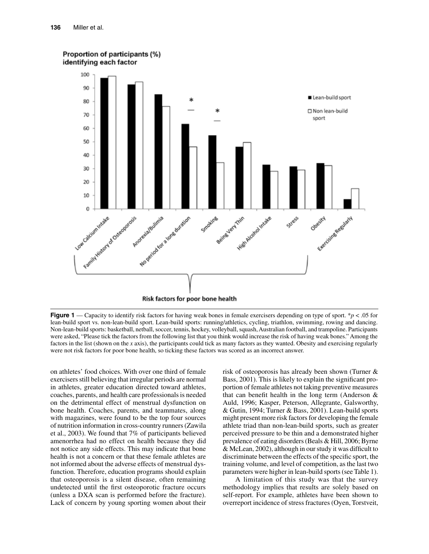#### Proportion of participants (%) identifying each factor



**Figure 1** — Capacity to identify risk factors for having weak bones in female exercisers depending on type of sport. \**p* < .05 for lean-build sport vs. non-lean-build sport. Lean-build sports: running/athletics, cycling, triathlon, swimming, rowing and dancing. Non-lean-build sports: basketball, netball, soccer, tennis, hockey, volleyball, squash, Australian football, and trampoline. Participants were asked, "Please tick the factors from the following list that you think would increase the risk of having weak bones." Among the factors in the list (shown on the *x* axis), the participants could tick as many factors as they wanted. Obesity and exercising regularly were not risk factors for poor bone health, so ticking these factors was scored as an incorrect answer.

on athletes' food choices. With over one third of female exercisers still believing that irregular periods are normal in athletes, greater education directed toward athletes, coaches, parents, and health care professionals is needed on the detrimental effect of menstrual dysfunction on bone health. Coaches, parents, and teammates, along with magazines, were found to be the top four sources of nutrition information in cross-country runners (Zawila et al., 2003). We found that 7% of participants believed amenorrhea had no effect on health because they did not notice any side effects. This may indicate that bone health is not a concern or that these female athletes are not informed about the adverse effects of menstrual dysfunction. Therefore, education programs should explain that osteoporosis is a silent disease, often remaining undetected until the first osteoporotic fracture occurs (unless a DXA scan is performed before the fracture). Lack of concern by young sporting women about their risk of osteoporosis has already been shown (Turner & Bass, 2001). This is likely to explain the significant proportion of female athletes not taking preventive measures that can benefit health in the long term (Anderson & Auld, 1996; Kasper, Peterson, Allegrante, Galsworthy, & Gutin, 1994; Turner & Bass, 2001). Lean-build sports might present more risk factors for developing the female athlete triad than non-lean-build sports, such as greater perceived pressure to be thin and a demonstrated higher prevalence of eating disorders (Beals & Hill, 2006; Byrne & McLean, 2002), although in our study it was difficult to discriminate between the effects of the specific sport, the training volume, and level of competition, as the last two parameters were higher in lean-build sports (see Table 1).

A limitation of this study was that the survey methodology implies that results are solely based on self-report. For example, athletes have been shown to overreport incidence of stress fractures (Oyen, Torstveit,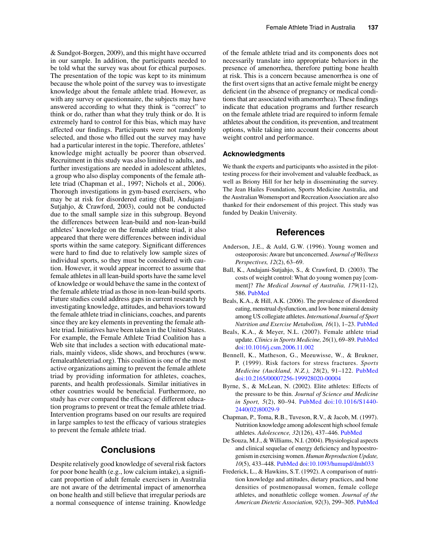& Sundgot-Borgen, 2009), and this might have occurred in our sample. In addition, the participants needed to be told what the survey was about for ethical purposes. The presentation of the topic was kept to its minimum because the whole point of the survey was to investigate knowledge about the female athlete triad. However, as with any survey or questionnaire, the subjects may have answered according to what they think is "correct" to think or do, rather than what they truly think or do. It is extremely hard to control for this bias, which may have affected our findings. Participants were not randomly selected, and those who filled out the survey may have had a particular interest in the topic. Therefore, athletes' knowledge might actually be poorer than observed. Recruitment in this study was also limited to adults, and further investigations are needed in adolescent athletes, a group who also display components of the female athlete triad (Chapman et al., 1997; Nichols et al., 2006). Thorough investigations in gym-based exercisers, who may be at risk for disordered eating (Ball, Andajani-Sutjahjo, & Crawford, 2003), could not be conducted due to the small sample size in this subgroup. Beyond the differences between lean-build and non-lean-build athletes' knowledge on the female athlete triad, it also appeared that there were differences between individual sports within the same category. Significant differences were hard to find due to relatively low sample sizes of individual sports, so they must be considered with caution. However, it would appear incorrect to assume that female athletes in all lean-build sports have the same level of knowledge or would behave the same in the context of the female athlete triad as those in non-lean-build sports. Future studies could address gaps in current research by investigating knowledge, attitudes, and behaviors toward the female athlete triad in clinicians, coaches, and parents since they are key elements in preventing the female athlete triad. Initiatives have been taken in the United States. For example, the Female Athlete Triad Coalition has a Web site that includes a section with educational materials, mainly videos, slide shows, and brochures (w[ww.](file:///Volumes/DENISE%20FD/Journals/J3896%20IJSNEM%2022(2)/Text%20and%20tables/www.femaleathletetriad.org) [femaleathletetriad.org\)](file:///Volumes/DENISE%20FD/Journals/J3896%20IJSNEM%2022(2)/Text%20and%20tables/www.femaleathletetriad.org). This coalition is one of the most active organizations aiming to prevent the female athlete triad by providing information for athletes, coaches, parents, and health professionals. Similar initiatives in other countries would be beneficial. Furthermore, no study has ever compared the efficacy of different education programs to prevent or treat the female athlete triad. Intervention programs based on our results are required in large samples to test the efficacy of various strategies to prevent the female athlete triad.

#### **Conclusions**

Despite relatively good knowledge of several risk factors for poor bone health (e.g., low calcium intake), a significant proportion of adult female exercisers in Australia are not aware of the detrimental impact of amenorrhea on bone health and still believe that irregular periods are a normal consequence of intense training. Knowledge

of the female athlete triad and its components does not necessarily translate into appropriate behaviors in the presence of amenorrhea, therefore putting bone health at risk. This is a concern because amenorrhea is one of the first overt signs that an active female might be energy deficient (in the absence of pregnancy or medical conditions that are associated with amenorrhea). These findings indicate that education programs and further research on the female athlete triad are required to inform female athletes about the condition, its prevention, and treatment options, while taking into account their concerns about weight control and performance.

#### **Acknowledgments**

We thank the experts and participants who assisted in the pilottesting process for their involvement and valuable feedback, as well as Briony Hill for her help in disseminating the survey. The Jean Hailes Foundation, Sports Medicine Australia, and the Australian Womensport and Recreation Association are also thanked for their endorsement of this project. This study was funded by Deakin University.

#### **References**

- Anderson, J.E., & Auld, G.W. (1996). Young women and osteoporosis: Aware but unconcerned. *Journal of Wellness Perspectives, 12*(2), 63–69.
- Ball, K., Andajani-Sutjahjo, S., & Crawford, D. (2003). The costs of weight control: What do young women pay [comment]? *The Medical Journal of Australia, 179*(11-12), 586. [PubMed](http://www.ncbi.nlm.nih.gov/entrez/query.fcgi?cmd=Retrieve&db=PubMed&list_uids=14636122&dopt=Abstract)
- Beals, K.A., & Hill, A.K. (2006). The prevalence of disordered eating, menstrual dysfunction, and low bone mineral density among US collegiate athletes. *International Journal of Sport Nutrition and Exercise Metabolism, 16*(1), 1–23. [PubMed](http://www.ncbi.nlm.nih.gov/entrez/query.fcgi?cmd=Retrieve&db=PubMed&list_uids=16676700&dopt=Abstract)
- Beals, K.A., & Meyer, N.L. (2007). Female athlete triad update. *Clinics in Sports Medicine, 26*(1), 69–89. [PubMed](http://www.ncbi.nlm.nih.gov/entrez/query.fcgi?cmd=Retrieve&db=PubMed&list_uids=17241915&dopt=Abstract)  [doi:10.1016/j.csm.2006.11.002](http://dx.doi.org/10.1016/j.csm.2006.11.002)
- Bennell, K., Matheson, G., Meeuwisse, W., & Brukner, P. (1999). Risk factors for stress fractures. *Sports Medicine (Auckland, N.Z.), 28*(2), 91–122. [PubMed](http://www.ncbi.nlm.nih.gov/entrez/query.fcgi?cmd=Retrieve&db=PubMed&list_uids=10492029&dopt=Abstract) [doi:10.2165/00007256-199928020-00004](http://dx.doi.org/10.2165/00007256-199928020-00004)
- Byrne, S., & McLean, N. (2002). Elite athletes: Effects of the pressure to be thin. *Journal of Science and Medicine in Sport, 5*(2), 80–94. [PubMed](http://www.ncbi.nlm.nih.gov/entrez/query.fcgi?cmd=Retrieve&db=PubMed&list_uids=12188089&dopt=Abstract) d[oi:10.1016/S1440-](http://dx.doi.org/10.1016/S1440-2440(02)80029-9) [2440\(02\)80029-9](http://dx.doi.org/10.1016/S1440-2440(02)80029-9)
- Chapman, P., Toma, R.B., Tuveson, R.V., & Jacob, M. (1997). Nutrition knowledge among adolescent high school female athletes. *Adolescence, 32*(126), 437–446. [PubMed](http://www.ncbi.nlm.nih.gov/entrez/query.fcgi?cmd=Retrieve&db=PubMed&list_uids=9179339&dopt=Abstract)
- De Souza, M.J., & Williams, N.I. (2004). Physiological aspects and clinical sequelae of energy deficiency and hypoestrogenism in exercising women. *Human Reproduction Update, 10*(5), 433–448. [PubMed](http://www.ncbi.nlm.nih.gov/entrez/query.fcgi?cmd=Retrieve&db=PubMed&list_uids=15231760&dopt=Abstract) [doi:10.1093/humupd/dmh033](http://dx.doi.org/10.1093/humupd/dmh033)
- Frederick, L., & Hawkins, S.T. (1992). A comparison of nutrition knowledge and attitudes, dietary practices, and bone densities of postmenopausal women, female college athletes, and nonathletic college women. *Journal of the American Dietetic Association, 92*(3), 299–305. [PubMed](http://www.ncbi.nlm.nih.gov/entrez/query.fcgi?cmd=Retrieve&db=PubMed&list_uids=1552128&dopt=Abstract)